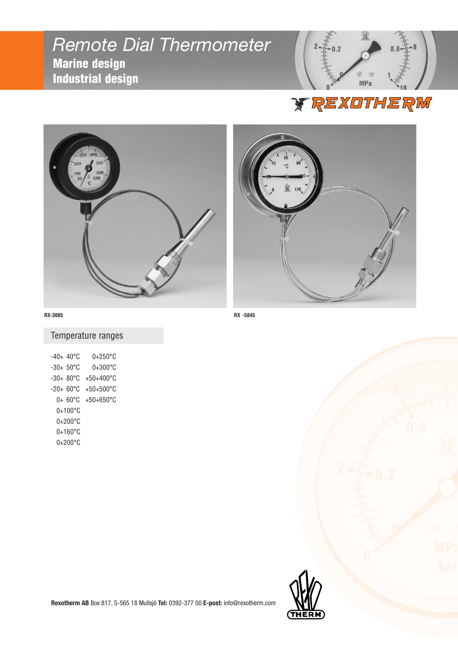# *Remote Dial Thermometer* Marine design Industrial design







#### Temperature ranges

| $-40+40\degree$ C | 0+250°C             |
|-------------------|---------------------|
| -30+ 50°C         | $0+300^{\circ}$ C   |
| -30+ 80°C         | +50+400°C           |
| -20+ 60°C         | +50+500°C           |
| 0+ 60°C           | $+50+650^{\circ}$ C |
| $0+100^{\circ}$ C |                     |
| 0+200°C           |                     |
| $0+160^{\circ}$ C |                     |
| $0+200^{\circ}$ C |                     |